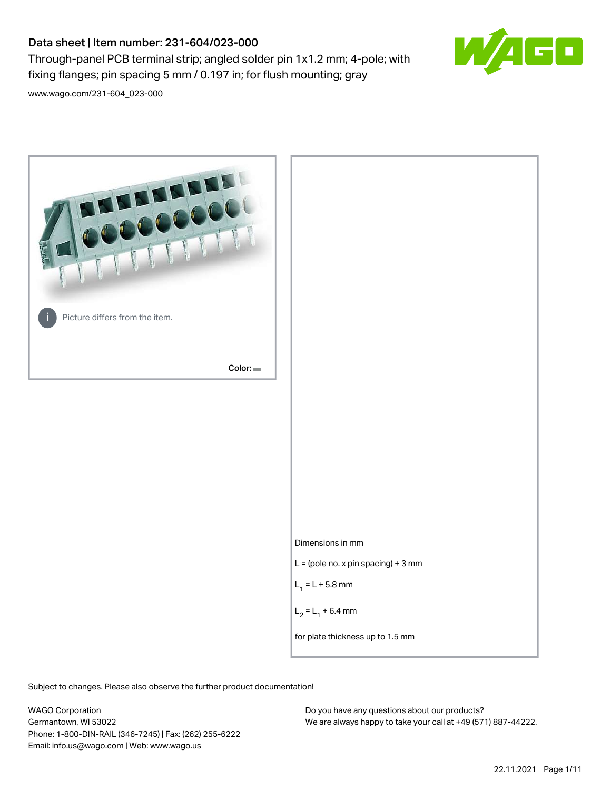# Data sheet | Item number: 231-604/023-000

Through-panel PCB terminal strip; angled solder pin 1x1.2 mm; 4-pole; with fixing flanges; pin spacing 5 mm / 0.197 in; for flush mounting; gray



[www.wago.com/231-604\\_023-000](http://www.wago.com/231-604_023-000)



Subject to changes. Please also observe the further product documentation!

WAGO Corporation Germantown, WI 53022 Phone: 1-800-DIN-RAIL (346-7245) | Fax: (262) 255-6222 Email: info.us@wago.com | Web: www.wago.us

Do you have any questions about our products? We are always happy to take your call at +49 (571) 887-44222.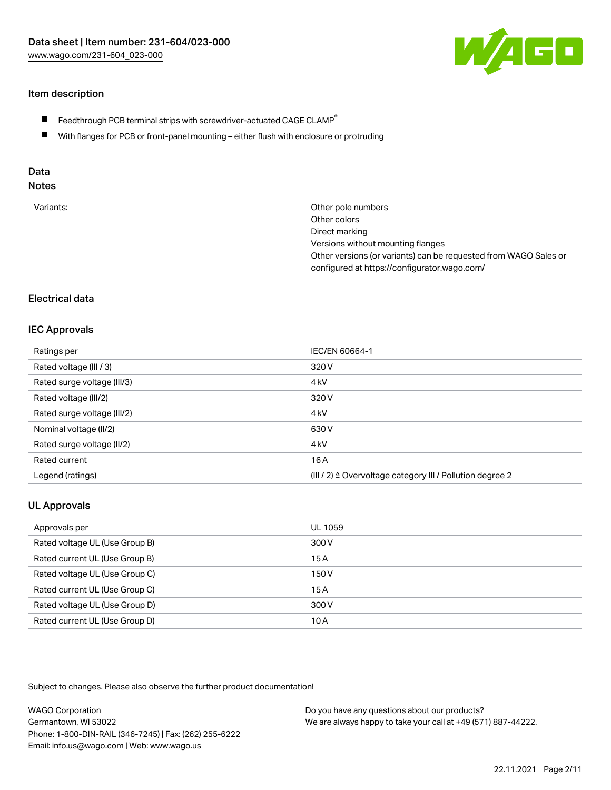

# Item description

- $\blacksquare$  Feedthrough PCB terminal strips with screwdriver-actuated CAGE CLAMP<sup>®</sup>
- With flanges for PCB or front-panel mounting either flush with enclosure or protruding

# Data

# Notes

| Variants: | Other pole numbers                                               |
|-----------|------------------------------------------------------------------|
|           | Other colors                                                     |
|           | Direct marking                                                   |
|           | Versions without mounting flanges                                |
|           | Other versions (or variants) can be requested from WAGO Sales or |
|           | configured at https://configurator.wago.com/                     |

### Electrical data

#### IEC Approvals

| Ratings per                 | IEC/EN 60664-1                                                       |
|-----------------------------|----------------------------------------------------------------------|
| Rated voltage (III / 3)     | 320 V                                                                |
| Rated surge voltage (III/3) | 4 <sub>k</sub> V                                                     |
| Rated voltage (III/2)       | 320 V                                                                |
| Rated surge voltage (III/2) | 4 <sub>k</sub> V                                                     |
| Nominal voltage (II/2)      | 630 V                                                                |
| Rated surge voltage (II/2)  | 4 <sub>k</sub> V                                                     |
| Rated current               | 16 A                                                                 |
| Legend (ratings)            | (III / 2) $\triangleq$ Overvoltage category III / Pollution degree 2 |

# UL Approvals

| Approvals per                  | UL 1059 |
|--------------------------------|---------|
| Rated voltage UL (Use Group B) | 300 V   |
| Rated current UL (Use Group B) | 15A     |
| Rated voltage UL (Use Group C) | 150 V   |
| Rated current UL (Use Group C) | 15A     |
| Rated voltage UL (Use Group D) | 300 V   |
| Rated current UL (Use Group D) | 10 A    |

Subject to changes. Please also observe the further product documentation!

| <b>WAGO Corporation</b>                                | Do you have any questions about our products?                 |
|--------------------------------------------------------|---------------------------------------------------------------|
| Germantown, WI 53022                                   | We are always happy to take your call at +49 (571) 887-44222. |
| Phone: 1-800-DIN-RAIL (346-7245)   Fax: (262) 255-6222 |                                                               |
| Email: info.us@wago.com   Web: www.wago.us             |                                                               |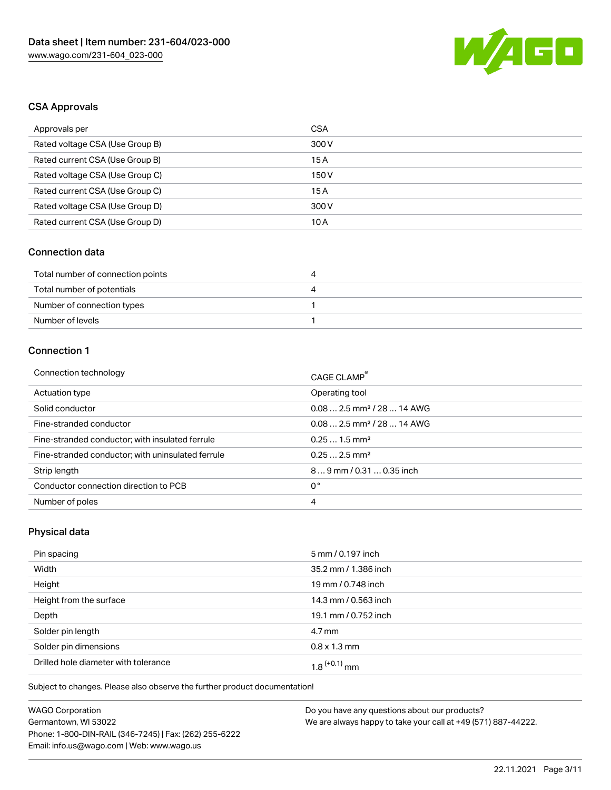

# CSA Approvals

| Approvals per                   | CSA   |
|---------------------------------|-------|
| Rated voltage CSA (Use Group B) | 300 V |
| Rated current CSA (Use Group B) | 15 A  |
| Rated voltage CSA (Use Group C) | 150 V |
| Rated current CSA (Use Group C) | 15A   |
| Rated voltage CSA (Use Group D) | 300 V |
| Rated current CSA (Use Group D) | 10 A  |

# Connection data

| Total number of connection points | 4 |
|-----------------------------------|---|
| Total number of potentials        |   |
| Number of connection types        |   |
| Number of levels                  |   |

# Connection 1

| Connection technology                             | CAGE CLAMP®                             |
|---------------------------------------------------|-----------------------------------------|
| Actuation type                                    | Operating tool                          |
| Solid conductor                                   | $0.082.5$ mm <sup>2</sup> / 28  14 AWG  |
| Fine-stranded conductor                           | $0.08$ 2.5 mm <sup>2</sup> / 28  14 AWG |
| Fine-stranded conductor; with insulated ferrule   | $0.251.5$ mm <sup>2</sup>               |
| Fine-stranded conductor; with uninsulated ferrule | $0.252.5$ mm <sup>2</sup>               |
| Strip length                                      | 89 mm / 0.31  0.35 inch                 |
| Conductor connection direction to PCB             | 0°                                      |
| Number of poles                                   | 4                                       |

# Physical data

| Pin spacing                          | 5 mm / 0.197 inch    |
|--------------------------------------|----------------------|
| Width                                | 35.2 mm / 1.386 inch |
| Height                               | 19 mm / 0.748 inch   |
| Height from the surface              | 14.3 mm / 0.563 inch |
| Depth                                | 19.1 mm / 0.752 inch |
| Solder pin length                    | $4.7 \,\mathrm{mm}$  |
| Solder pin dimensions                | $0.8 \times 1.3$ mm  |
| Drilled hole diameter with tolerance | $1.8$ $(+0.1)$ mm    |

Subject to changes. Please also observe the further product documentation!

| <b>WAGO Corporation</b>                                | Do v |
|--------------------------------------------------------|------|
| Germantown, WI 53022                                   | We a |
| Phone: 1-800-DIN-RAIL (346-7245)   Fax: (262) 255-6222 |      |
| Email: info.us@wago.com   Web: www.wago.us             |      |

ou have any questions about our products? are always happy to take your call at +49 (571) 887-44222.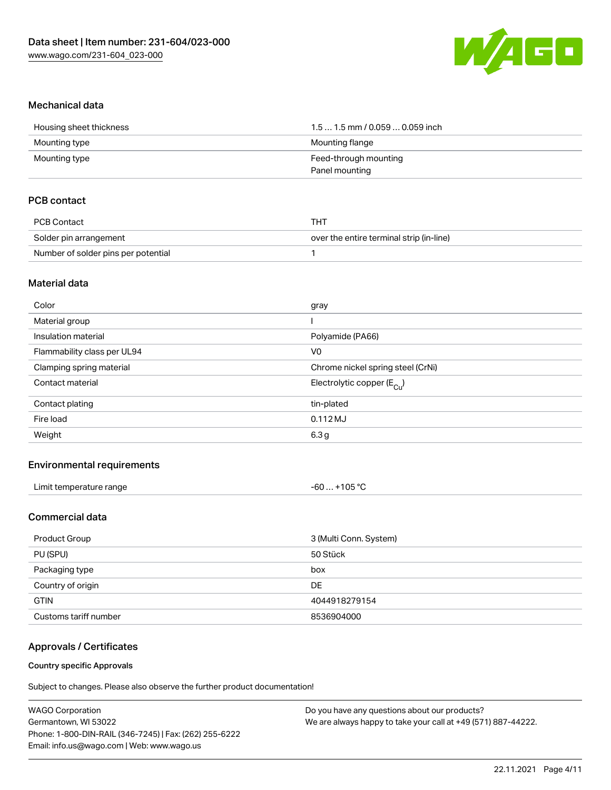

#### Mechanical data

| Housing sheet thickness | $1.51.5$ mm / 0.059  0.059 inch |
|-------------------------|---------------------------------|
| Mounting type           | Mounting flange                 |
| Mounting type           | Feed-through mounting           |
|                         | Panel mounting                  |

### PCB contact

| PCB Contact                         | тнт                                      |
|-------------------------------------|------------------------------------------|
| Solder pin arrangement              | over the entire terminal strip (in-line) |
| Number of solder pins per potential |                                          |

#### Material data

| Polyamide (PA66)                      |
|---------------------------------------|
|                                       |
| Chrome nickel spring steel (CrNi)     |
| Electrolytic copper $(E_{\text{Cu}})$ |
|                                       |
|                                       |
|                                       |
|                                       |

#### Environmental requirements

| Limit temperature range | -60  +105 °C |
|-------------------------|--------------|
|-------------------------|--------------|

# Commercial data

| Product Group         | 3 (Multi Conn. System) |
|-----------------------|------------------------|
| PU (SPU)              | 50 Stück               |
| Packaging type        | box                    |
| Country of origin     | DE                     |
| <b>GTIN</b>           | 4044918279154          |
| Customs tariff number | 8536904000             |

#### Approvals / Certificates

#### Country specific Approvals

Subject to changes. Please also observe the further product documentation!

| Do you have any questions about our products?                 |
|---------------------------------------------------------------|
| We are always happy to take your call at +49 (571) 887-44222. |
|                                                               |
|                                                               |
|                                                               |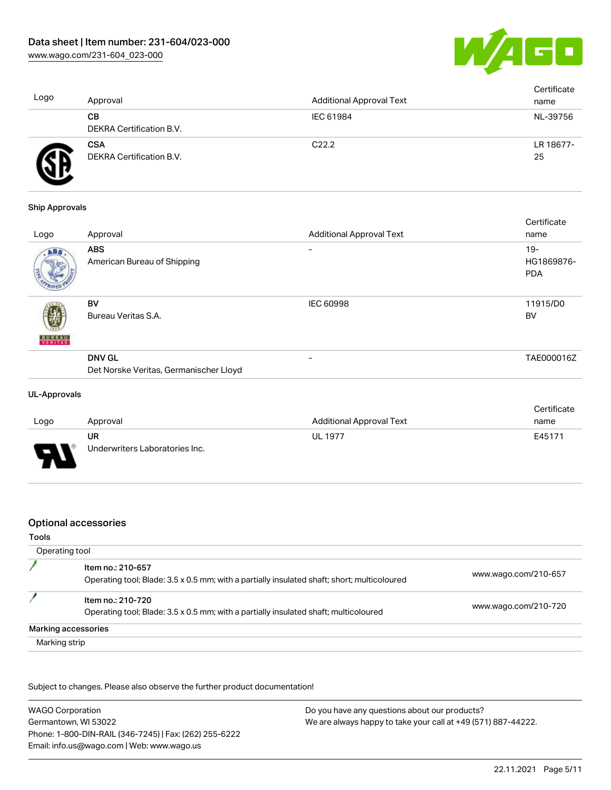

| Logo | Approval                               | <b>Additional Approval Text</b> | Certificate<br>name |
|------|----------------------------------------|---------------------------------|---------------------|
|      | CВ<br>DEKRA Certification B.V.         | IEC 61984                       | NL-39756            |
|      | <b>CSA</b><br>DEKRA Certification B.V. | C <sub>22.2</sub>               | LR 18677-<br>25     |

#### Ship Approvals

|                          |                                                         |                                 | Certificate                        |
|--------------------------|---------------------------------------------------------|---------------------------------|------------------------------------|
| Logo                     | Approval                                                | <b>Additional Approval Text</b> | name                               |
| ABS                      | <b>ABS</b><br>American Bureau of Shipping               | $\overline{\phantom{0}}$        | $19 -$<br>HG1869876-<br><b>PDA</b> |
| <b>BUREAU</b><br>VERITAS | BV<br>Bureau Veritas S.A.                               | <b>IEC 60998</b>                | 11915/D0<br><b>BV</b>              |
|                          | <b>DNV GL</b><br>Det Norske Veritas, Germanischer Lloyd | $\overline{\phantom{0}}$        | TAE000016Z                         |
|                          |                                                         |                                 |                                    |

#### UL-Approvals

л п

|      |                                |                                 | Certificate |
|------|--------------------------------|---------------------------------|-------------|
| Logo | Approval                       | <b>Additional Approval Text</b> | name        |
|      | UR                             | UL 1977                         | E45171      |
| J    | Underwriters Laboratories Inc. |                                 |             |

#### Optional accessories

#### Tools

| Operating tool                                                                                                   |                      |
|------------------------------------------------------------------------------------------------------------------|----------------------|
| Item no.: 210-657<br>Operating tool; Blade: 3.5 x 0.5 mm; with a partially insulated shaft; short; multicoloured | www.wago.com/210-657 |
| Item no.: 210-720                                                                                                | www.wago.com/210-720 |
| Operating tool; Blade: 3.5 x 0.5 mm; with a partially insulated shaft; multicoloured                             |                      |
| Marking accessories                                                                                              |                      |
| Marking strip                                                                                                    |                      |

Subject to changes. Please also observe the further product documentation!

| <b>WAGO Corporation</b>                                | Do you have any questions about our products?                 |
|--------------------------------------------------------|---------------------------------------------------------------|
| Germantown, WI 53022                                   | We are always happy to take your call at +49 (571) 887-44222. |
| Phone: 1-800-DIN-RAIL (346-7245)   Fax: (262) 255-6222 |                                                               |
| Email: info.us@wago.com   Web: www.wago.us             |                                                               |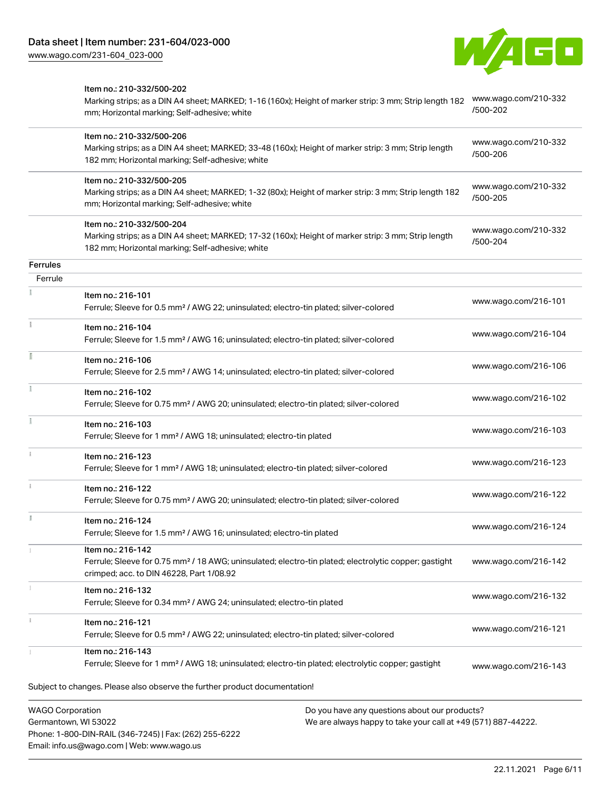Phone: 1-800-DIN-RAIL (346-7245) | Fax: (262) 255-6222

Email: info.us@wago.com | Web: www.wago.us



|                                                 | Item no.: 210-332/500-202<br>Marking strips; as a DIN A4 sheet; MARKED; 1-16 (160x); Height of marker strip: 3 mm; Strip length 182<br>mm; Horizontal marking; Self-adhesive; white  |                                                                                                                | www.wago.com/210-332<br>/500-202 |
|-------------------------------------------------|--------------------------------------------------------------------------------------------------------------------------------------------------------------------------------------|----------------------------------------------------------------------------------------------------------------|----------------------------------|
|                                                 | Item no.: 210-332/500-206<br>Marking strips; as a DIN A4 sheet; MARKED; 33-48 (160x); Height of marker strip: 3 mm; Strip length<br>182 mm; Horizontal marking; Self-adhesive; white |                                                                                                                | www.wago.com/210-332<br>/500-206 |
|                                                 | Item no.: 210-332/500-205<br>Marking strips; as a DIN A4 sheet; MARKED; 1-32 (80x); Height of marker strip: 3 mm; Strip length 182<br>mm; Horizontal marking; Self-adhesive; white   |                                                                                                                | www.wago.com/210-332<br>/500-205 |
|                                                 | Item no.: 210-332/500-204<br>Marking strips; as a DIN A4 sheet; MARKED; 17-32 (160x); Height of marker strip: 3 mm; Strip length<br>182 mm; Horizontal marking; Self-adhesive; white |                                                                                                                | www.wago.com/210-332<br>/500-204 |
| Ferrules                                        |                                                                                                                                                                                      |                                                                                                                |                                  |
| Ferrule                                         |                                                                                                                                                                                      |                                                                                                                |                                  |
|                                                 | Item no.: 216-101<br>Ferrule; Sleeve for 0.5 mm <sup>2</sup> / AWG 22; uninsulated; electro-tin plated; silver-colored                                                               |                                                                                                                | www.wago.com/216-101             |
|                                                 | Item no.: 216-104<br>Ferrule; Sleeve for 1.5 mm <sup>2</sup> / AWG 16; uninsulated; electro-tin plated; silver-colored                                                               |                                                                                                                | www.wago.com/216-104             |
|                                                 | Item no.: 216-106<br>Ferrule; Sleeve for 2.5 mm <sup>2</sup> / AWG 14; uninsulated; electro-tin plated; silver-colored                                                               |                                                                                                                | www.wago.com/216-106             |
|                                                 | Item no.: 216-102<br>Ferrule; Sleeve for 0.75 mm <sup>2</sup> / AWG 20; uninsulated; electro-tin plated; silver-colored                                                              |                                                                                                                | www.wago.com/216-102             |
|                                                 | Item no.: 216-103<br>Ferrule; Sleeve for 1 mm <sup>2</sup> / AWG 18; uninsulated; electro-tin plated                                                                                 |                                                                                                                | www.wago.com/216-103             |
|                                                 | Item no.: 216-123<br>Ferrule; Sleeve for 1 mm <sup>2</sup> / AWG 18; uninsulated; electro-tin plated; silver-colored                                                                 |                                                                                                                | www.wago.com/216-123             |
|                                                 | Item no.: 216-122<br>Ferrule; Sleeve for 0.75 mm <sup>2</sup> / AWG 20; uninsulated; electro-tin plated; silver-colored                                                              |                                                                                                                | www.wago.com/216-122             |
|                                                 | Item no.: 216-124<br>Ferrule; Sleeve for 1.5 mm <sup>2</sup> / AWG 16; uninsulated; electro-tin plated                                                                               |                                                                                                                | www.wago.com/216-124             |
|                                                 | Item no.: 216-142<br>Ferrule; Sleeve for 0.75 mm <sup>2</sup> / 18 AWG; uninsulated; electro-tin plated; electrolytic copper; gastight<br>crimped; acc. to DIN 46228, Part 1/08.92   |                                                                                                                | www.wago.com/216-142             |
|                                                 | Item no.: 216-132<br>Ferrule; Sleeve for 0.34 mm <sup>2</sup> / AWG 24; uninsulated; electro-tin plated                                                                              |                                                                                                                | www.wago.com/216-132             |
|                                                 | Item no.: 216-121<br>Ferrule; Sleeve for 0.5 mm <sup>2</sup> / AWG 22; uninsulated; electro-tin plated; silver-colored                                                               |                                                                                                                | www.wago.com/216-121             |
|                                                 | Item no.: 216-143<br>Ferrule; Sleeve for 1 mm <sup>2</sup> / AWG 18; uninsulated; electro-tin plated; electrolytic copper; gastight                                                  |                                                                                                                | www.wago.com/216-143             |
|                                                 | Subject to changes. Please also observe the further product documentation!                                                                                                           |                                                                                                                |                                  |
| <b>WAGO Corporation</b><br>Germantown, WI 53022 |                                                                                                                                                                                      | Do you have any questions about our products?<br>We are always happy to take your call at +49 (571) 887-44222. |                                  |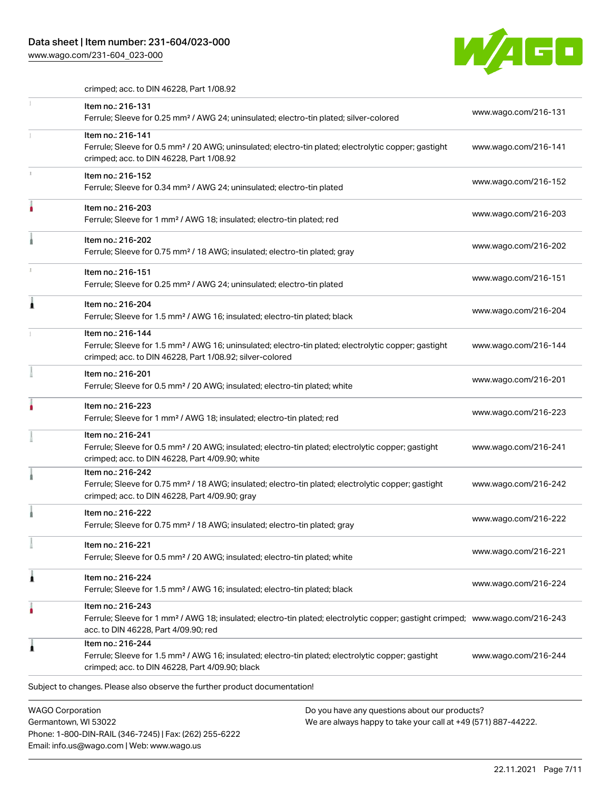# Data sheet | Item number: 231-604/023-000

Email: info.us@wago.com | Web: www.wago.us

[www.wago.com/231-604\\_023-000](http://www.wago.com/231-604_023-000)



crimped; acc. to DIN 46228, Part 1/08.92

|   | Item no.: 216-131                                                                                                                                                                                       |                                                                                                                |                      |
|---|---------------------------------------------------------------------------------------------------------------------------------------------------------------------------------------------------------|----------------------------------------------------------------------------------------------------------------|----------------------|
|   | Ferrule; Sleeve for 0.25 mm <sup>2</sup> / AWG 24; uninsulated; electro-tin plated; silver-colored                                                                                                      |                                                                                                                | www.wago.com/216-131 |
|   | Item no.: 216-141<br>Ferrule; Sleeve for 0.5 mm <sup>2</sup> / 20 AWG; uninsulated; electro-tin plated; electrolytic copper; gastight<br>crimped; acc. to DIN 46228, Part 1/08.92                       |                                                                                                                | www.wago.com/216-141 |
|   | Item no.: 216-152<br>Ferrule; Sleeve for 0.34 mm <sup>2</sup> / AWG 24; uninsulated; electro-tin plated                                                                                                 |                                                                                                                | www.wago.com/216-152 |
|   | Item no.: 216-203<br>Ferrule; Sleeve for 1 mm <sup>2</sup> / AWG 18; insulated; electro-tin plated; red                                                                                                 |                                                                                                                | www.wago.com/216-203 |
|   | Item no.: 216-202<br>Ferrule; Sleeve for 0.75 mm <sup>2</sup> / 18 AWG; insulated; electro-tin plated; gray                                                                                             |                                                                                                                | www.wago.com/216-202 |
|   | Item no.: 216-151<br>Ferrule; Sleeve for 0.25 mm <sup>2</sup> / AWG 24; uninsulated; electro-tin plated                                                                                                 |                                                                                                                | www.wago.com/216-151 |
|   | Item no.: 216-204<br>Ferrule; Sleeve for 1.5 mm <sup>2</sup> / AWG 16; insulated; electro-tin plated; black                                                                                             |                                                                                                                | www.wago.com/216-204 |
|   | Item no.: 216-144<br>Ferrule; Sleeve for 1.5 mm <sup>2</sup> / AWG 16; uninsulated; electro-tin plated; electrolytic copper; gastight<br>crimped; acc. to DIN 46228, Part 1/08.92; silver-colored       |                                                                                                                | www.wago.com/216-144 |
|   | Item no.: 216-201<br>Ferrule; Sleeve for 0.5 mm <sup>2</sup> / 20 AWG; insulated; electro-tin plated; white                                                                                             |                                                                                                                | www.wago.com/216-201 |
|   | Item no.: 216-223<br>Ferrule; Sleeve for 1 mm <sup>2</sup> / AWG 18; insulated; electro-tin plated; red                                                                                                 |                                                                                                                | www.wago.com/216-223 |
|   | Item no.: 216-241<br>Ferrule; Sleeve for 0.5 mm <sup>2</sup> / 20 AWG; insulated; electro-tin plated; electrolytic copper; gastight<br>crimped; acc. to DIN 46228, Part 4/09.90; white                  |                                                                                                                | www.wago.com/216-241 |
|   | Item no.: 216-242<br>Ferrule; Sleeve for 0.75 mm <sup>2</sup> / 18 AWG; insulated; electro-tin plated; electrolytic copper; gastight<br>crimped; acc. to DIN 46228, Part 4/09.90; gray                  |                                                                                                                | www.wago.com/216-242 |
|   | Item no.: 216-222<br>Ferrule; Sleeve for 0.75 mm <sup>2</sup> / 18 AWG; insulated; electro-tin plated; gray                                                                                             |                                                                                                                | www.wago.com/216-222 |
|   | Item no.: 216-221<br>Ferrule; Sleeve for 0.5 mm <sup>2</sup> / 20 AWG; insulated; electro-tin plated; white                                                                                             |                                                                                                                | www.wago.com/216-221 |
| ٨ | Item no.: 216-224<br>Ferrule; Sleeve for 1.5 mm <sup>2</sup> / AWG 16; insulated; electro-tin plated; black                                                                                             |                                                                                                                | www.wago.com/216-224 |
|   | Item no.: 216-243<br>Ferrule; Sleeve for 1 mm <sup>2</sup> / AWG 18; insulated; electro-tin plated; electrolytic copper; gastight crimped; www.wago.com/216-243<br>acc. to DIN 46228, Part 4/09.90; red |                                                                                                                |                      |
|   | Item no.: 216-244<br>Ferrule; Sleeve for 1.5 mm <sup>2</sup> / AWG 16; insulated; electro-tin plated; electrolytic copper; gastight<br>crimped; acc. to DIN 46228, Part 4/09.90; black                  |                                                                                                                | www.wago.com/216-244 |
|   | Subject to changes. Please also observe the further product documentation!                                                                                                                              |                                                                                                                |                      |
|   | <b>WAGO Corporation</b><br>Germantown, WI 53022<br>Phone: 1-800-DIN-RAIL (346-7245)   Fax: (262) 255-6222                                                                                               | Do you have any questions about our products?<br>We are always happy to take your call at +49 (571) 887-44222. |                      |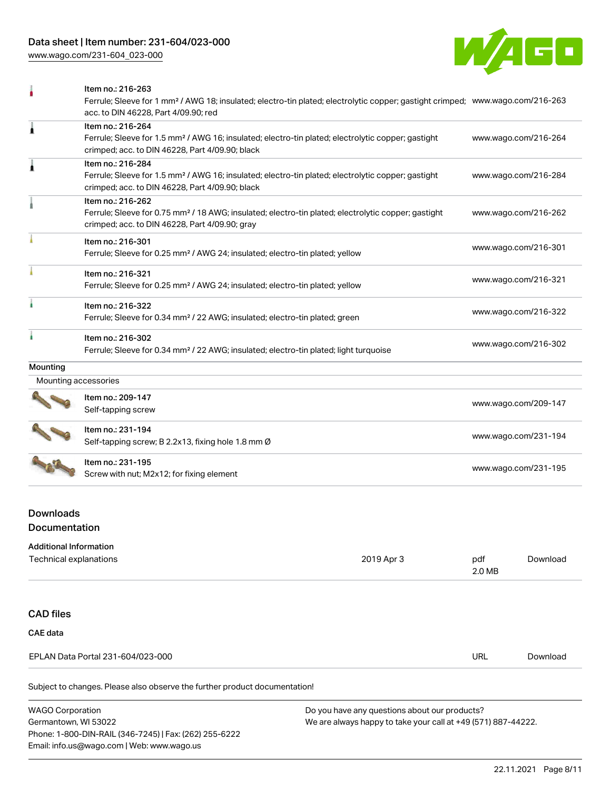[www.wago.com/231-604\\_023-000](http://www.wago.com/231-604_023-000)



|                      | Item no.: 216-263                                                                                                                                                                  |                      |
|----------------------|------------------------------------------------------------------------------------------------------------------------------------------------------------------------------------|----------------------|
|                      | Ferrule; Sleeve for 1 mm <sup>2</sup> / AWG 18; insulated; electro-tin plated; electrolytic copper; gastight crimped; www.wago.com/216-263<br>acc. to DIN 46228, Part 4/09.90; red |                      |
| 1                    | Item no.: 216-264                                                                                                                                                                  |                      |
|                      | Ferrule; Sleeve for 1.5 mm <sup>2</sup> / AWG 16; insulated; electro-tin plated; electrolytic copper; gastight<br>crimped; acc. to DIN 46228, Part 4/09.90; black                  | www.wago.com/216-264 |
| Â                    | Item no.: 216-284                                                                                                                                                                  |                      |
|                      | Ferrule; Sleeve for 1.5 mm <sup>2</sup> / AWG 16; insulated; electro-tin plated; electrolytic copper; gastight<br>crimped; acc. to DIN 46228, Part 4/09.90; black                  | www.wago.com/216-284 |
|                      | Item no.: 216-262                                                                                                                                                                  |                      |
|                      | Ferrule; Sleeve for 0.75 mm <sup>2</sup> / 18 AWG; insulated; electro-tin plated; electrolytic copper; gastight<br>crimped; acc. to DIN 46228, Part 4/09.90; gray                  | www.wago.com/216-262 |
|                      | Item no.: 216-301                                                                                                                                                                  |                      |
|                      | Ferrule; Sleeve for 0.25 mm <sup>2</sup> / AWG 24; insulated; electro-tin plated; yellow                                                                                           | www.wago.com/216-301 |
|                      | Item no.: 216-321                                                                                                                                                                  |                      |
|                      | Ferrule; Sleeve for 0.25 mm <sup>2</sup> / AWG 24; insulated; electro-tin plated; yellow                                                                                           | www.wago.com/216-321 |
|                      | Item no.: 216-322                                                                                                                                                                  |                      |
|                      | Ferrule; Sleeve for 0.34 mm <sup>2</sup> / 22 AWG; insulated; electro-tin plated; green                                                                                            | www.wago.com/216-322 |
|                      | Item no.: 216-302                                                                                                                                                                  |                      |
|                      | Ferrule; Sleeve for 0.34 mm <sup>2</sup> / 22 AWG; insulated; electro-tin plated; light turquoise                                                                                  | www.wago.com/216-302 |
| Mounting             |                                                                                                                                                                                    |                      |
| Mounting accessories |                                                                                                                                                                                    |                      |
|                      | Item no.: 209-147                                                                                                                                                                  |                      |
|                      | Self-tapping screw                                                                                                                                                                 | www.wago.com/209-147 |
|                      | Item no.: 231-194                                                                                                                                                                  |                      |
|                      | Self-tapping screw; B 2.2x13, fixing hole 1.8 mm Ø                                                                                                                                 | www.wago.com/231-194 |
|                      | Item no.: 231-195                                                                                                                                                                  |                      |
|                      | Screw with nut; M2x12; for fixing element                                                                                                                                          | www.wago.com/231-195 |

# Downloads Documentation

Phone: 1-800-DIN-RAIL (346-7245) | Fax: (262) 255-6222

Email: info.us@wago.com | Web: www.wago.us

| <b>Additional Information</b>                                              |                                                               |          |
|----------------------------------------------------------------------------|---------------------------------------------------------------|----------|
| Technical explanations                                                     | 2019 Apr 3<br>pdf<br>2.0 MB                                   | Download |
|                                                                            |                                                               |          |
| <b>CAD files</b>                                                           |                                                               |          |
| <b>CAE</b> data                                                            |                                                               |          |
| EPLAN Data Portal 231-604/023-000                                          | <b>URL</b>                                                    | Download |
| Subject to changes. Please also observe the further product documentation! |                                                               |          |
| <b>WAGO Corporation</b>                                                    | Do you have any questions about our products?                 |          |
| Germantown, WI 53022                                                       | We are always happy to take your call at +49 (571) 887-44222. |          |

We are always happy to take your call at +49 (571) 887-44222.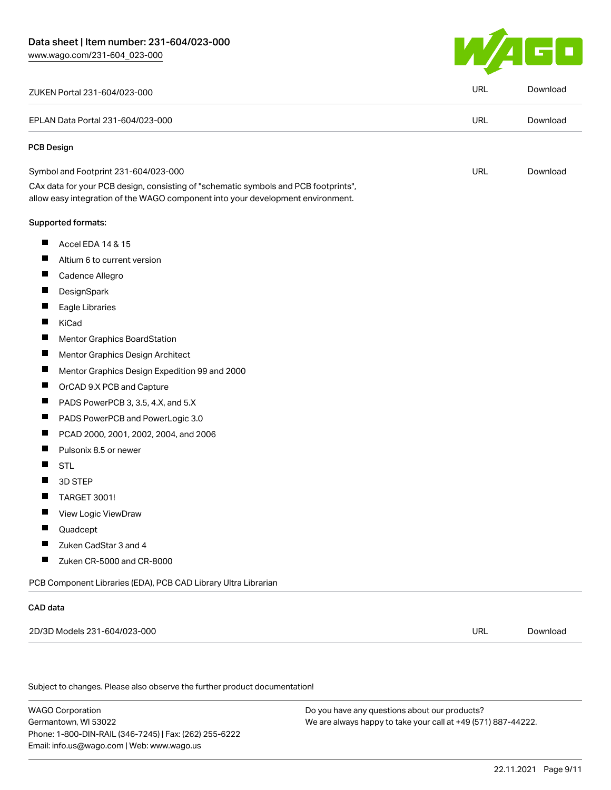

| ZUKEN Portal 231-604/023-000                                                                                                                                           | <b>URL</b> | Download |
|------------------------------------------------------------------------------------------------------------------------------------------------------------------------|------------|----------|
| EPLAN Data Portal 231-604/023-000                                                                                                                                      | <b>URL</b> | Download |
| <b>PCB Design</b>                                                                                                                                                      |            |          |
| Symbol and Footprint 231-604/023-000                                                                                                                                   | <b>URL</b> | Download |
| CAx data for your PCB design, consisting of "schematic symbols and PCB footprints",<br>allow easy integration of the WAGO component into your development environment. |            |          |
| Supported formats:                                                                                                                                                     |            |          |
| ш<br>Accel EDA 14 & 15                                                                                                                                                 |            |          |
| Ш<br>Altium 6 to current version                                                                                                                                       |            |          |
| ш<br>Cadence Allegro                                                                                                                                                   |            |          |
| $\blacksquare$<br>DesignSpark                                                                                                                                          |            |          |
| ш<br>Eagle Libraries                                                                                                                                                   |            |          |
| П<br>KiCad                                                                                                                                                             |            |          |
| $\blacksquare$<br>Mentor Graphics BoardStation                                                                                                                         |            |          |
| $\overline{\phantom{a}}$<br>Mentor Graphics Design Architect                                                                                                           |            |          |
| ш<br>Mentor Graphics Design Expedition 99 and 2000                                                                                                                     |            |          |
| ш<br>OrCAD 9.X PCB and Capture                                                                                                                                         |            |          |
| $\blacksquare$<br>PADS PowerPCB 3, 3.5, 4.X, and 5.X                                                                                                                   |            |          |
| ш<br>PADS PowerPCB and PowerLogic 3.0                                                                                                                                  |            |          |
| $\blacksquare$<br>PCAD 2000, 2001, 2002, 2004, and 2006                                                                                                                |            |          |
| Pulsonix 8.5 or newer<br>ш                                                                                                                                             |            |          |
| ш<br><b>STL</b>                                                                                                                                                        |            |          |
| ш<br>3D STEP                                                                                                                                                           |            |          |
| <b>TARGET 3001!</b>                                                                                                                                                    |            |          |
| Ш<br>View Logic ViewDraw                                                                                                                                               |            |          |
| П<br>Quadcept                                                                                                                                                          |            |          |
| Zuken CadStar 3 and 4                                                                                                                                                  |            |          |
| ш<br>Zuken CR-5000 and CR-8000                                                                                                                                         |            |          |
| PCB Component Libraries (EDA), PCB CAD Library Ultra Librarian                                                                                                         |            |          |
| CAD data                                                                                                                                                               |            |          |
| 2D/3D Models 231-604/023-000                                                                                                                                           | <b>URL</b> | Download |
|                                                                                                                                                                        |            |          |
| Subject to changes. Please also observe the further product documentation!                                                                                             |            |          |
|                                                                                                                                                                        |            |          |

WAGO Corporation Germantown, WI 53022 Phone: 1-800-DIN-RAIL (346-7245) | Fax: (262) 255-6222 Email: info.us@wago.com | Web: www.wago.us

Do you have any questions about our products? We are always happy to take your call at +49 (571) 887-44222.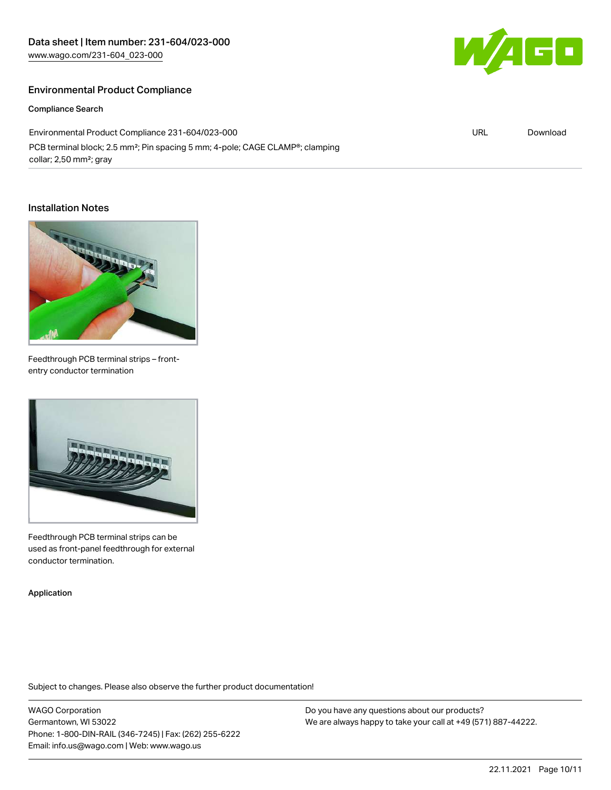# Environmental Product Compliance

Compliance Search

Environmental Product Compliance 231-604/023-000 PCB terminal block; 2.5 mm<sup>2</sup>; Pin spacing 5 mm; 4-pole; CAGE CLAMP®; clamping collar; 2,50 mm²; gray

#### Installation Notes



Feedthrough PCB terminal strips – frontentry conductor termination



Feedthrough PCB terminal strips can be used as front-panel feedthrough for external conductor termination.

Application

Subject to changes. Please also observe the further product documentation!

WAGO Corporation Germantown, WI 53022 Phone: 1-800-DIN-RAIL (346-7245) | Fax: (262) 255-6222 Email: info.us@wago.com | Web: www.wago.us

Do you have any questions about our products? We are always happy to take your call at +49 (571) 887-44222.



URL [Download](https://www.wago.com/global/d/ComplianceLinkMediaContainer_231-604_023-000)